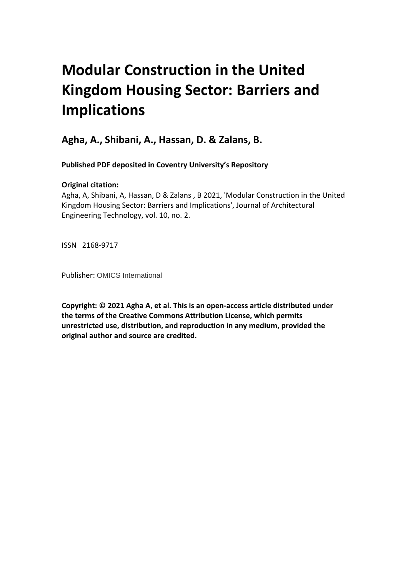# **Modular Construction in the United Kingdom Housing Sector: Barriers and Implications**

**Agha, A., Shibani, A., Hassan, D. & Zalans, B.** 

**Published PDF deposited in Coventry University's Repository** 

# **Original citation:**

Agha, A, Shibani, A, Hassan, D & Zalans , B 2021, 'Modular Construction in the United Kingdom Housing Sector: Barriers and Implications', Journal of Architectural Engineering Technology, vol. 10, no. 2.

ISSN 2168-9717

Publisher: OMICS International

**Copyright: © 2021 Agha A, et al. This is an open-access article distributed under the terms of the Creative Commons Attribution License, which permits unrestricted use, distribution, and reproduction in any medium, provided the original author and source are credited.**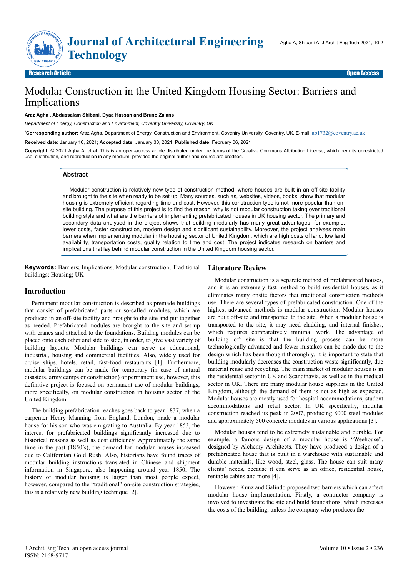**Jou**

# Modular Construction in the United Kingdom Housing Sector: Barriers and Implications

#### **Araz Agha**\* **, Abdussalam Shibani, Dyaa Hassan and Bruno Zalans**

*Department of Energy, Construction and Environment, Coventry University, Coventry, UK*

\* **Corresponding author:** Araz Agha, Department of Energy, Construction and Environment, Coventry University, Coventry, UK, E-mail: [ab1732@coventry.ac.uk](mailto:ab1732@coventry.ac.uk)

**Received date:** January 16, 2021; **Accepted date:** January 30, 2021; **Published date:** February 06, 2021

 **Copyright:** © 2021 Agha A, et al. This is an open-access article distributed under the terms of the Creative Commons Attribution License, which permits unrestricted use, distribution, and reproduction in any medium, provided the original author and source are credited.

#### **Abstract**

Modular construction is relatively new type of construction method, where houses are built in an off-site facility and brought to the site when ready to be set up. Many sources, such as, websites, videos, books, show that modular housing is extremely efficient regarding time and cost. However, this construction type is not more popular than onsite building. The purpose of this project is to find the reason, why is not modular construction taking over traditional building style and what are the barriers of implementing prefabricated houses in UK housing sector. The primary and secondary data analysed in the project shows that building modularly has many great advantages, for example, lower costs, faster construction, modern design and significant sustainability. Moreover, the project analyses main barriers when implementing modular in the housing sector of United Kingdom, which are high costs of land, low land availability, transportation costs, quality relation to time and cost. The project indicates research on barriers and implications that lay behind modular construction in the United Kingdom housing sector.

**Keywords:** Barriers; Implications; Modular construction; Traditional buildings; Housing; UK

#### **Introduction**

Permanent modular construction is described as premade buildings that consist of prefabricated parts or so-called modules, which are produced in an off-site facility and brought to the site and put together as needed. Prefabricated modules are brought to the site and set up with cranes and attached to the foundations. Building modules can be placed onto each other and side to side, in order, to give vast variety of building layouts. Modular buildings can serve as educational, industrial, housing and commercial facilities. Also, widely used for cruise ships, hotels, retail, fast-food restaurants [1]. Furthermore, modular buildings can be made for temporary (in case of natural disasters, army camps or construction) or permanent use, however, this definitive project is focused on permanent use of modular buildings, more specifically, on modular construction in housing sector of the United Kingdom.

The building prefabrication reaches goes back to year 1837, when a carpenter Henry Manning from England, London, made a modular house for his son who was emigrating to Australia. By year 1853, the interest for prefabricated buildings significantly increased due to historical reasons as well as cost efficiency. Approximately the same time in the past (1850's), the demand for modular houses increased due to Californian Gold Rush. Also, historians have found traces of modular building instructions translated in Chinese and shipment information in Singapore, also happening around year 1850. The history of modular housing is larger than most people expect, however, compared to the "traditional" on-site construction strategies, this is a relatively new building technique [2].

### **Literature Review**

Modular construction is a separate method of prefabricated houses, and it is an extremely fast method to build residential houses, as it eliminates many onsite factors that traditional construction methods use. There are several types of prefabricated construction. One of the highest advanced methods is modular construction. Modular houses are built off-site and transported to the site. When a modular house is transported to the site, it may need cladding, and internal finishes, which requires comparatively minimal work. The advantage of building off site is that the building process can be more technologically advanced and fewer mistakes can be made due to the design which has been thought thoroughly. It is important to state that building modularly decreases the construction waste significantly, due material reuse and recycling. The main market of modular houses is in the residential sector in UK and Scandinavia, as well as in the medical sector in UK. There are many modular house suppliers in the United Kingdom, although the demand of them is not as high as expected. Modular houses are mostly used for hospital accommodations, student accommodations and retail sector. In UK specifically, modular construction reached its peak in 2007, producing 8000 steel modules and approximately 500 concrete modules in various applications [3].

Modular houses tend to be extremely sustainable and durable. For example, a famous design of a modular house is "Weehouse", designed by Alchemy Architects. They have produced a design of a prefabricated house that is built in a warehouse with sustainable and durable materials, like wood, steel, glass. The house can suit many clients' needs, because it can serve as an office, residential house, rentable cabins and more [4].

However, Kunz and Galindo proposed two barriers which can affect modular house implementation. Firstly, a contractor company is involved to investigate the site and build foundations, which increases the costs of the building, unless the company who produces the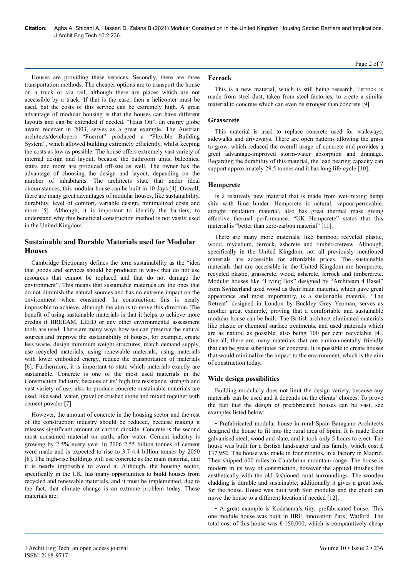Houses are providing these services. Secondly, there are three transportation methods. The cheaper options are to transport the house on a truck or via rail, although there are places which are not accessible by a truck. If that is the case, then a helicopter must be used, but the costs of this service can be extremely high. A great advantage of modular housing is that the houses can have different layouts and can be extended if needed. "Haus Ott", an energy globe award receiver in 2003, serves as a great example. The Austrian architects/developers "Fuerrot" produced a "Flexible Building System", which allowed building extremely efficiently, whilst keeping the costs as low as possible. The house offers extremely vast variety of internal design and layout, because the bathroom units, balconies, stairs and more are produced off-site as well. The owner has the advantage of choosing the design and layout, depending on the number of inhabitants. The architects state that under ideal circumstances, this modular house can be built in 10 days [4]. Overall, there are many great advantages of modular houses, like sustainability, durability, level of comfort, variable design, minimalized costs and more [5]. Although, it is important to identify the barriers, to understand why this beneficial construction method is not vastly used in the United Kingdom.

# **Sustainable and Durable Materials used for Modular Houses**

Cambridge Dictionary defines the term sustainability as the "idea that goods and services should be produced in ways that do not use resources that cannot be replaced and that do not damage the environment". This means that sustainable materials are the ones that do not diminish the natural sources and has no extreme impact on the environment when consumed. In construction, this is nearly impossible to achieve, although the aim is to move this direction. The benefit of using sustainable materials is that it helps to achieve more credits if BREEAM, LEED or any other environmental assessment tools are used. There are many ways how we can preserve the natural sources and improve the sustainability of houses, for example, create less waste, design minimum weight structures, match demand supply, use recycled materials, using renewable materials, using materials with lower embodied energy, reduce the transportation of materials [6]. Furthermore, it is important to state which materials exactly are sustainable. Concrete is one of the most used materials in the Construction Industry, because of its' high fire resistance, strength and vast variety of use, also to produce concrete sustainable materials are used, like sand, water, gravel or crushed stone and mixed together with cement powder [7].

However, the amount of concrete in the housing sector and the rest of the construction industry should be reduced, because making it releases significant amount of carbon dioxide. Concrete is the second most consumed material on earth, after water. Cement industry is growing by 2.5% every year. In 2006 2.55 billion tonnes of cement were made and is expected to rise to 3.7-4.4 billion tonnes by 2050 [8]. The high-rise buildings will use concrete as the main material, and it is nearly impossible to avoid it. Although, the housing sector, specifically in the UK, has many opportunities to build houses from recycled and renewable materials, and it must be implemented, due to the fact, that climate change is an extreme problem today. These materials are:

## **Ferrock**

This is a new material, which is still being research. Ferrock is made from steel dust, taken from steel factories, to create a similar material to concrete which can even be stronger than concrete [9].

### **Grasscrete**

This material is used to replace concrete used for walkways, sidewalks and driveways. There are open patterns allowing the grass to grow, which reduced the overall usage of concrete and provides a great advantage-improved storm-water absorption and drainage. Regarding the durability of this material, the load bearing capacity can support approximately 29.5 tonnes and it has long life-cycle [10].

#### **Hempcrete**

Is a relatively new material that is made from wet-mixing hemp shiv with lime binder. Hempcrete is natural, vapour-permeable, airtight insulation material, also has great thermal mass giving effective thermal performance. "UK Hempcrete" states that this material is "better than zero-carbon material" [11].

There are many more materials, like bamboo, recycled plastic, wood, mycelium, ferrock, ashcrete and timber-creteew. Although, specifically in the United Kingdom, not all previously mentioned materials are accessible for affordable prices. The sustainable materials that are accessible in the United Kingdom are hempcrete, recycled plastic, grasscrete, wood, ashcrete, ferrock and timbercrete. Modular houses like "Living Box" designed by "Architeam 4 Basel" from Switzerland used wood as their main material, which gave great appearance and most importantly, is a sustainable material. "The Retreat" designed in London by Buckley Grey Yeoman, serves as another great example, proving that a comfortable and sustainable modular house can be built. The British architect eliminated materials like plastic or chemical surface treatments, and used materials which are as natural as possible, also being 100 per cent recyclable [4]. Overall, there are many materials that are environmentally friendly that can be great substitutes for concrete. It is possible to create houses that would minimalize the impact to the environment, which is the aim of construction today.

### **Wide design possibilities**

Building modularly does not limit the design variety, because any materials can be used and it depends on the clients' choices. To prove the fact that the design of prefabricated houses can be vast, see examples listed below:

• Prefabricated modular house in rural Spain-Baragano Architects designed the house to fit into the rural area of Spain. It is made from galvanised steel, wood and slate, and it took only 5 hours to erect. The house was built for a British landscaper and his family, which cost  $f$ . 137,952. The house was made in four months, in a factory in Madrid. Then shipped 600 miles to Cantabrian mountain range. The house is modern in its way of construction, however the applied finishes fits aesthetically with the old fashioned rural surroundings. The wooden cladding is durable and sustainable; additionally it gives a great look for the house. House was built with four modules and the client can move the house to a different location if needed [12].

• A great example is Kodasema's tiny, prefabricated house. This one module house was built in BRE Innovation Park, Watford. The total cost of this house was  $£ 150,000$ , which is comparatively cheap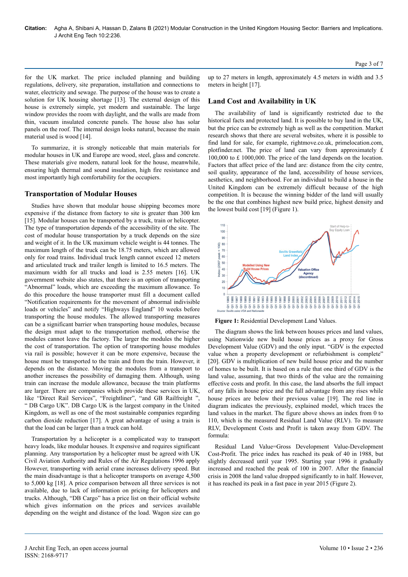for the UK market. The price included planning and building regulations, delivery, site preparation, installation and connections to water, electricity and sewage. The purpose of the house was to create a solution for UK housing shortage [13]. The external design of this house is extremely simple, yet modern and sustainable. The large window provides the room with daylight, and the walls are made from thin, vacuum insulated concrete panels. The house also has solar panels on the roof. The internal design looks natural, because the main material used is wood [14].

To summarize, it is strongly noticeable that main materials for modular houses in UK and Europe are wood, steel, glass and concrete. These materials give modern, natural look for the house, meanwhile, ensuring high thermal and sound insulation, high fire resistance and most importantly high comfortability for the occupiers.

#### **Transportation of Modular Houses**

Studies have shown that modular house shipping becomes more expensive if the distance from factory to site is greater than 300 km [15]. Modular houses can be transported by a truck, train or helicopter. The type of transportation depends of the accessibility of the site. The cost of modular house transportation by a truck depends on the size and weight of it. In the UK maximum vehicle weight is 44 tonnes. The maximum length of the truck can be 18.75 meters, which are allowed only for road trains. Individual truck length cannot exceed 12 meters and articulated truck and trailer length is limited to 16.5 meters. The maximum width for all trucks and load is 2.55 meters [16]. UK government website also states, that there is an option of transporting "Abnormal" loads, which are exceeding the maximum allowance. To do this procedure the house transporter must fill a document called "Notification requirements for the movement of abnormal indivisible loads or vehicles" and notify "Highways England" 10 weeks before transporting the house modules. The allowed transporting measures can be a significant barrier when transporting house modules, because the design must adapt to the transportation method, otherwise the modules cannot leave the factory. The larger the modules the higher the cost of transportation. The option of transporting house modules via rail is possible; however it can be more expensive, because the house must be transported to the train and from the train. However, it depends on the distance. Moving the modules from a transport to another increases the possibility of damaging them. Although, using train can increase the module allowance, because the train platforms are larger. There are companies which provide these services in UK, like "Direct Rail Services", "Freightliner", "and GB Railfreight ", " DB Cargo UK". DB Cargo UK is the largest company in the United Kingdom, as well as one of the most sustainable companies regarding carbon dioxide reduction [17]. A great advantage of using a train is that the load can be larger than a truck can hold.

Transportation by a helicopter is a complicated way to transport heavy loads, like modular houses. It expensive and requires significant planning. Any transportation by a helicopter must be agreed with UK Civil Aviation Authority and Rules of the Air Regulations 1996 apply However, transporting with aerial crane increases delivery speed. But the main disadvantage is that a helicopter transports on average 4,500 to 5,000 kg [18]. A price comparison between all three services is not available, due to lack of information on pricing for helicopters and trucks. Although, "DB Cargo" has a price list on their official website which gives information on the prices and services available depending on the weight and distance of the load. Wagon size can go Page 3 of 7

up to 27 meters in length, approximately 4.5 meters in width and 3.5 meters in height [17].

#### **Land Cost and Availability in UK**

The availability of land is significantly restricted due to the historical facts and protected land. It is possible to buy land in the UK, but the price can be extremely high as well as the competition. Market research shows that there are several websites, where it is possible to find land for sale, for example, rightmove.co.uk, primelocation.com, plotfinder.net. The price of land can vary from approximately £ 100,000 to £ 1000,000. The price of the land depends on the location. Factors that affect price of the land are: distance from the city centre, soil quality, appearance of the land, accessibility of house services, aesthetics, and neighborhood. For an individual to build a house in the United Kingdom can be extremely difficult because of the high competition. It is because the winning bidder of the land will usually be the one that combines highest new build price, highest density and the lowest build cost [19] (Figure 1).



**Figure 1:** Residential Development Land Values.

The diagram shows the link between houses prices and land values, using Nationwide new build house prices as a proxy for Gross Development Value (GDV) and the only input. "GDV is the expected value when a property development or refurbishment is complete" [20]. GDV is multiplication of new build house price and the number of homes to be built. It is based on a rule that one third of GDV is the land value, assuming, that two thirds of the value are the remaining effective costs and profit. In this case, the land absorbs the full impact of any falls in house price and the full advantage from any rises while house prices are below their previous value [19]. The red line in diagram indicates the previously, explained model, which traces the land values in the market. The figure above shows an index from 0 to 110, which is the measured Residual Land Value (RLV). To measure RLV, Development Costs and Profit is taken away from GDV. The formula:

Residual Land Value=Gross Development Value-Development Cost-Profit. The price index has reached its peak of 40 in 1988, but slightly decreased until year 1995. Starting year 1996 it gradually increased and reached the peak of 100 in 2007. After the financial crisis in 2008 the land value dropped significantly to in half. However, it has reached its peak in a fast pace in year 2015 (Figure 2).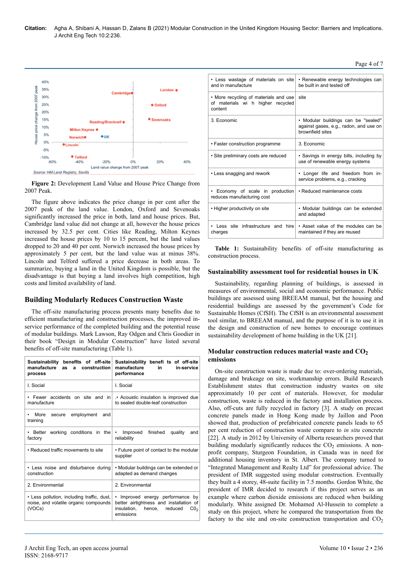

**Figure 2:** Development Land Value and House Price Change from 2007 Peak.

The figure above indicates the price change in per cent after the 2007 peak of the land value. London, Oxford and Sevenoaks significantly increased the price in both, land and house prices. But, Cambridge land value did not change at all, however the house prices increased by 32.5 per cent. Cities like Reading, Milton Keynes increased the house prices by 10 to 15 percent, but the land values dropped to 20 and 40 per cent. Norwich increased the house prices by approximately 5 per cent, but the land value was at minus 38%. Lincoln and Telford suffered a price decrease in both areas. To summarize, buying a land in the United Kingdom is possible, but the disadvantage is that buying a land involves high competition, high costs and limited availability of land.

# **Building Modularly Reduces Construction Waste**

The off-site manufacturing process presents many benefits due to efficient manufacturing and construction processes, the improved inservice performance of the completed building and the potential reuse of modular buildings. Mark Lawson, Ray Odgen and Chris Goodier in their book "Design in Modular Construction" have listed several benefits of off-site manufacturing (Table 1).

| Sustainability benefits of off-site<br>manufacture<br>construction<br>as<br>a<br>process      | Sustainability benefi ts of off-site<br>manufacture<br>in<br>in-service<br>performance                                                                 |
|-----------------------------------------------------------------------------------------------|--------------------------------------------------------------------------------------------------------------------------------------------------------|
| I. Social                                                                                     | I. Social                                                                                                                                              |
| manufacture                                                                                   | • Fewer accidents on site and $\ln$ • Acoustic insulation is improved due<br>to sealed double-leaf construction                                        |
| More<br>employment<br>and<br>secure<br>training                                               |                                                                                                                                                        |
| • Better working conditions in the<br>factory                                                 | Improved<br>finished<br>$\bullet$<br>quality<br>and<br>reliability                                                                                     |
| • Reduced traffic movements to site                                                           | • Future point of contact to the modular<br>supplier                                                                                                   |
| • Less noise and disturbance during<br>construction                                           | • Modular buildings can be extended or<br>adapted as demand changes                                                                                    |
| 2 Environmental                                                                               | 2 Environmental                                                                                                                                        |
| • Less pollution, including traffic, dust,<br>noise, and volatile organic compounds<br>(VOCs) | Improved energy performance<br>٠.<br>bv<br>better airtightness and installation of<br>insulation.<br>hence.<br>reduced<br>CO <sub>2</sub><br>emissions |

| • Less wastage of materials on site<br>and in manufacture                             | • Renewable energy technologies can<br>be built in and tested off                                 |  |  |
|---------------------------------------------------------------------------------------|---------------------------------------------------------------------------------------------------|--|--|
| • More recycling of materials and use<br>of materials wi h higher recycled<br>content | site                                                                                              |  |  |
| 3. Economic                                                                           | • Modular buildings can be "sealed"<br>against gases, e.g., radon, and use on<br>brownfield sites |  |  |
| • Faster construction programme                                                       | 3. Economic                                                                                       |  |  |
| • Site preliminary costs are reduced                                                  | • Savings in energy bills, including by<br>use of renewable energy systems                        |  |  |
| • Less snagging and rework                                                            | . Longer life and freedom from in-<br>service problems, e.g., cracking                            |  |  |
| • Economy of scale in production<br>reduces manufacturing cost                        | • Reduced maintenance costs                                                                       |  |  |
| • Higher productivity on site                                                         | • Modular buildings can be extended<br>and adapted                                                |  |  |
| Less site infrastructure and hire<br>charges                                          | • Asset value of the modules can be<br>maintained if they are reused                              |  |  |

Page 4 of 7

**Table 1:** Sustainability benefits of off-site manufacturing as construction process.

#### **Sustainability assessment tool for residential houses in UK**

Sustainability, regarding planning of buildings, is assessed in measures of environmental, social and economic performance. Public buildings are assessed using BREEAM manual, but the housing and residential buildings are assessed by the government's Code for Sustainable Homes (CfSH). The CfSH is an environmental assessment tool similar, to BREEAM manual, and the purpose of it is to use it in the design and construction of new homes to encourage continues sustainability development of home building in the UK [21].

#### Modular construction reduces material waste and CO<sub>2</sub> **emissions**

On-site construction waste is made due to: over-ordering materials, damage and brakeage on site, workmanship errors. Build Research Establishment states that construction industry wastes on site approximately 10 per cent of materials. However, for modular construction, waste is reduced in the factory and installation process. Also, off-cuts are fully recycled in factory [3]. A study on precast concrete panels made in Hong Kong made by Jaillon and Poon showed that, production of prefabricated concrete panels leads to 65 per cent reduction of construction waste compare to *in situ* concrete [22]. A study in 2012 by University of Alberta researchers proved that building modularly significantly reduces the  $CO<sub>2</sub>$  emissions. A nonprofit company, Sturgeon Foundation, in Canada was in need for additional housing inventory in St. Albert. The company turned to "Integrated Management and Realty Ltd" for professional advice. The president of IMR suggested using modular construction. Eventually they built a 4 storey, 48-suite facility in 7.5 months. Gordon White, the president of IMR decided to research if this project serves as an example where carbon dioxide emissions are reduced when building modularly. White assigned Dr. Mohamed Al-Hussein to complete a study on this project, where he compared the transportation from the factory to the site and on-site construction transportation and  $CO<sub>2</sub>$ 

ISSN: 2168-9717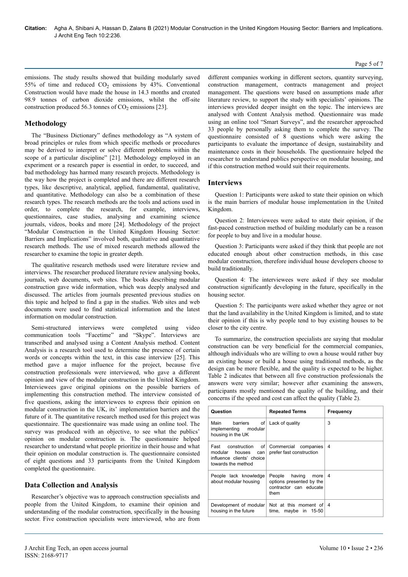#### Page 5 of 7

emissions. The study results showed that building modularly saved 55% of time and reduced  $CO<sub>2</sub>$  emissions by 43%. Conventional Construction would have made the house in 14.3 months and created 98.9 tonnes of carbon dioxide emissions, whilst the off-site construction produced 56.3 tonnes of  $CO<sub>2</sub>$  emissions [23].

# **Methodology**

The "Business Dictionary" defines methodology as "A system of broad principles or rules from which specific methods or procedures may be derived to interpret or solve different problems within the scope of a particular discipline" [21]. Methodology employed in an experiment or a research paper is essential in order, to succeed, and bad methodology has harmed many research projects. Methodology is the way how the project is completed and there are different research types, like descriptive, analytical, applied, fundamental, qualitative, and quantitative. Methodology can also be a combination of these research types. The research methods are the tools and actions used in order, to complete the research, for example, interviews, questionnaires, case studies, analysing and examining science journals, videos, books and more [24]. Methodology of the project "Modular Construction in the United Kingdom Housing Sector: Barriers and Implications" involved both, qualitative and quantitative research methods. The use of mixed research methods allowed the researcher to examine the topic in greater depth.

The qualitative research methods used were literature review and interviews. The researcher produced literature review analysing books, journals, web documents, web sites. The books describing modular construction gave wide information, which was deeply analysed and discussed. The articles from journals presented previous studies on this topic and helped to find a gap in the studies. Web sites and web documents were used to find statistical information and the latest information on modular construction.

Semi-structured interviews were completed using video communication tools "Facetime" and "Skype". Interviews are transcribed and analysed using a Content Analysis method. Content Analysis is a research tool used to determine the presence of certain words or concepts within the text, in this case interview [25]. This method gave a major influence for the project, because five construction professionals were interviewed, who gave a different opinion and view of the modular construction in the United Kingdom. Interviewees gave original opinions on the possible barriers of implementing this construction method. The interview consisted of five questions, asking the interviewees to express their opinion on modular construction in the UK, its' implementation barriers and the future of it. The quantitative research method used for this project was questionnaire. The questionnaire was made using an online tool. The survey was produced with an objective, to see what the publics' opinion on modular construction is. The questionnaire helped researcher to understand what people prioritize in their house and what their opinion on modular construction is. The questionnaire consisted of eight questions and 33 participants from the United Kingdom completed the questionnaire.

# **Data Collection and Analysis**

Researcher's objective was to approach construction specialists and people from the United Kingdom, to examine their opinion and understanding of the modular construction, specifically in the housing sector. Five construction specialists were interviewed, who are from

different companies working in different sectors, quantity surveying, construction management, contracts management and project management. The questions were based on assumptions made after literature review, to support the study with specialists' opinions. The interviews provided deeper insight on the topic. The interviews are analysed with Content Analysis method. Questionnaire was made using an online tool "Smart Surveys", and the researcher approached 33 people by personally asking them to complete the survey. The questionnaire consisted of 8 questions which were asking the participants to evaluate the importance of design, sustainability and maintenance costs in their households. The questionnaire helped the researcher to understand publics perspective on modular housing, and if this construction method would suit their requirements.

### **Interviews**

Question 1: Participants were asked to state their opinion on which is the main barriers of modular house implementation in the United Kingdom.

Question 2: Interviewees were asked to state their opinion, if the fast-paced construction method of building modularly can be a reason for people to buy and live in a modular house.

Question 3: Participants were asked if they think that people are not educated enough about other construction methods, in this case modular construction, therefore individual house developers choose to build traditionally.

Question 4: The interviewees were asked if they see modular construction significantly developing in the future, specifically in the housing sector.

Question 5: The participants were asked whether they agree or not that the land availability in the United Kingdom is limited, and to state their opinion if this is why people tend to buy existing houses to be closer to the city centre.

To summarize, the construction specialists are saying that modular construction can be very beneficial for the commercial companies, although individuals who are willing to own a house would rather buy an existing house or build a house using traditional methods, as the design can be more flexible, and the quality is expected to be higher. Table 2 indicates that between all five construction professionals the answers were very similar; however after examining the answers, participants mostly mentioned the quality of the building, and their concerns if the speed and cost can affect the quality (Table 2).

| Question                                                                                            | <b>Repeated Terms</b>                                                               | Frequency |
|-----------------------------------------------------------------------------------------------------|-------------------------------------------------------------------------------------|-----------|
| Main<br>barriers<br>of l<br>implementing modular<br>housing in the UK                               | Lack of quality                                                                     | 3         |
| Fast construction of<br>modular<br>houses<br>can<br>influence clients' choice<br>towards the method | Commercial<br>companies<br>prefer fast construction                                 | 4         |
| People lack knowledge<br>about modular housing                                                      | People having<br>more<br>options presented by the<br>contractor can educate<br>them | 4         |
| Development of modular<br>housing in the future                                                     | Not at this moment of $4$<br>time, maybe in $15-50$                                 |           |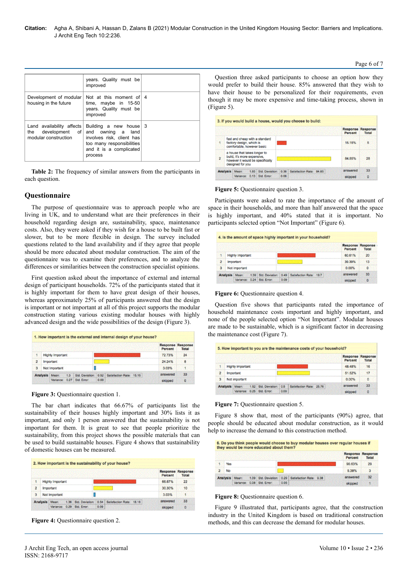|                                                   | years. Quality must be<br>improved                                                                                                                             |  |
|---------------------------------------------------|----------------------------------------------------------------------------------------------------------------------------------------------------------------|--|
| Development of modular<br>housing in the future   | Not at this moment of 4<br>time, maybe in 15-50<br>years. Quality must be<br>improved                                                                          |  |
| Land availability affects<br>modular construction | Building a new house 3<br>the development of and owning a land<br>involves risk, client has<br>too many responsibilities<br>and it is a complicated<br>process |  |

**Table 2:** The frequency of similar answers from the participants in each question.

## **Questionnaire**

The purpose of questionnaire was to approach people who are living in UK, and to understand what are their preferences in their household regarding design are, sustainability, space, maintenance costs. Also, they were asked if they wish for a house to be built fast or slower, but to be more flexible in design. The survey included questions related to the land availability and if they agree that people should be more educated about modular construction. The aim of the questionnaire was to examine their preferences, and to analyze the differences or similarities between the construction specialist opinions.

First question asked about the importance of external and internal design of participant households. 72% of the participants stated that it is highly important for them to have great design of their houses, whereas approximately 25% of participants answered that the design is important or not important at all of this project supports the modular construction stating various existing modular houses with highly advanced design and the wide possibilities of the design (Figure 3).

|                              |  |                  |      |                 |      |                               | <b>Percent</b> | <b>Response Response</b><br><b>Total</b> |
|------------------------------|--|------------------|------|-----------------|------|-------------------------------|----------------|------------------------------------------|
| 1<br><b>Highly Important</b> |  |                  |      |                 |      |                               | 72.73%         | 24                                       |
| $\overline{2}$               |  | <b>Important</b> |      |                 |      |                               | 24.24%         | 8                                        |
| 3                            |  | Not Important    |      |                 |      |                               | 3.03%          |                                          |
| <b>Analysis</b>              |  | Mean:            | 1.3  | Std. Deviation: |      | 0.52 Satisfaction Rate: 15.15 | answered       | 33                                       |
|                              |  | Variance:        | 0.27 | Std. Error:     | 0.09 |                               | skipped        | o                                        |

**Figure 3:** Questionnaire question 1.

The bar chart indicates that 66.67% of participants list the sustainability of their houses highly important and 30% lists it as important, and only 1 person answered that the sustainability is not important for them. It is great to see that people prioritize the sustainability, from this project shows the possible materials that can be used to build sustainable houses. Figure 4 shows that sustainability of domestic houses can be measured.

|                 |                         |           |                  |  |                 |      |                          | Percent  | <b>Response Response</b><br><b>Total</b> |
|-----------------|-------------------------|-----------|------------------|--|-----------------|------|--------------------------|----------|------------------------------------------|
|                 | <b>Highly Important</b> |           |                  |  |                 |      |                          | 66.67%   | 22                                       |
| 2               |                         | Important |                  |  |                 |      |                          | 30.30%   | 10                                       |
| 3               | Not Important           |           |                  |  |                 |      |                          | 3.03%    | ٤                                        |
| <b>Analysis</b> |                         | Mean:     | 1.36             |  | Std. Deviation: | 0.54 | Satisfaction Rate: 18.18 | answered | 33                                       |
|                 |                         | Variance  | 0.29 Std. Error: |  |                 | 0.09 |                          |          | $\Omega$                                 |

**Figure 4:** Questionnaire question 2.

Question three asked participants to choose an option how they would prefer to build their house. 85% answered that they wish to have their house to be personalized for their requirements, even though it may be more expensive and time-taking process, shown in (Figure 5).

|  |  | 3. If you would build a house, would you choose to build: |  |
|--|--|-----------------------------------------------------------|--|
|  |  |                                                           |  |

|                                                                                                                                       |                                                                                          |           |      |                  |      |                               | <b>Response Response</b><br>Percent | Total |
|---------------------------------------------------------------------------------------------------------------------------------------|------------------------------------------------------------------------------------------|-----------|------|------------------|------|-------------------------------|-------------------------------------|-------|
|                                                                                                                                       | fast and cheap with a standard<br>factory design, which is<br>comfortable, however basic |           |      |                  |      |                               | 15.15%                              | 5     |
| a house that takes longer to<br>build, it's more expensive,<br>$\overline{2}$<br>however it would be specifically<br>designed for you |                                                                                          |           |      |                  |      |                               | 84.85%                              | 28    |
|                                                                                                                                       | <b>Analysis</b>                                                                          | Mean:     | 1.85 | Std. Deviation:  |      | 0.36 Satisfaction Rate: 84.85 | answered                            | 33    |
|                                                                                                                                       |                                                                                          | Variance: |      | 0.13 Std. Error: | 0.06 |                               | skipped                             | o     |

#### **Figure 5:** Questionnaire question 3.

Participants were asked to rate the importance of the amount of space in their households, and more than half answered that the space is highly important, and 40% stated that it is important. No participants selected option "Not Important" (Figure 6).

|                 |                         |                  |                  |  |                 |      | 4. Is the amount of space highly important in your household? |          |                                   |
|-----------------|-------------------------|------------------|------------------|--|-----------------|------|---------------------------------------------------------------|----------|-----------------------------------|
|                 |                         |                  |                  |  |                 |      |                                                               | Percent  | <b>Response Response</b><br>Total |
| t               | <b>Highly Important</b> |                  |                  |  |                 |      |                                                               | 60.61%   | 20                                |
| $\overline{2}$  |                         | <b>Important</b> |                  |  |                 |      |                                                               | 39.39%   | 13                                |
| 3               |                         | Not important    |                  |  |                 |      |                                                               | 0.00%    | $\Omega$                          |
| <b>Analysis</b> |                         | Mean:            | 1.39.            |  | Std. Deviation: | 0.49 | Satisfaction Rate: 19.7                                       | answered | 33                                |
|                 |                         | Variance:        | 0.24 Std. Error: |  |                 | 0.09 |                                                               | skipped  | O                                 |

#### **Figure 6:** Questionnaire question 4.

Question five shows that participants rated the importance of household maintenance costs important and highly important, and none of the people selected option "Not Important". Modular houses are made to be sustainable, which is a significant factor in decreasing the maintenance cost (Figure 7).

|                |                 |                         |  |                            |      |                                                   | <b>Response Response</b><br>Percent | Total    |
|----------------|-----------------|-------------------------|--|----------------------------|------|---------------------------------------------------|-------------------------------------|----------|
| 1              |                 | <b>Highly important</b> |  | 48.48%                     | 16   |                                                   |                                     |          |
| $\overline{2}$ |                 | <b>Important</b>        |  |                            |      |                                                   | 51.52%                              | 17       |
| 3              |                 | Not important           |  |                            |      |                                                   | 0.00%                               | $\Omega$ |
|                | <b>Analysis</b> | Mean:                   |  |                            |      | 1.52 Std. Deviation: 0.5 Satisfaction Rate: 25.76 | answered                            | 33       |
|                |                 |                         |  | Variance: 0.25 Std. Error: | 0.09 |                                                   | skipped                             | ٥        |

#### **Figure 7:** Questionnaire question 5.

Figure 8 show that, most of the participants (90%) agree, that people should be educated about modular construction, as it would help to increase the demand to this construction method.

6. Do you think people would choose to buy modular houses over regular houses if<br>they would be more educated about them?

|                 |     |             | <b>Response Response</b><br>Percent | <b>Total</b> |                                                   |          |  |
|-----------------|-----|-------------|-------------------------------------|--------------|---------------------------------------------------|----------|--|
|                 | Yes |             | 90.63%                              | 29           |                                                   |          |  |
|                 | No  |             | 9.38%                               | я            |                                                   |          |  |
| <b>Analysis</b> |     | <b>Mean</b> |                                     |              | 1.09 Std. Deviation: 0.29 Satisfaction Rate: 9.38 | answered |  |
|                 |     | Variance:   | 0.08 Std. Error:                    | 0.05         |                                                   |          |  |

#### **Figure 8:** Questionnaire question 6.

Figure 9 illustrated that, participants agree, that the construction industry in the United Kingdom is based on traditional construction methods, and this can decrease the demand for modular houses.

#### Page 6 of 7